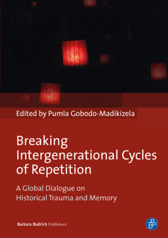

Edited by Pumla Gobodo-Madikizela

# **Breaking Intergenerational Cycles** of Repetition

A Global Dialogue on **Historical Trauma and Memory** 



**Barbara Budrich Publishers**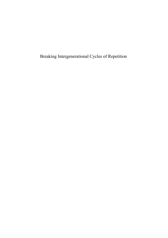Breaking Intergenerational Cycles of Repetition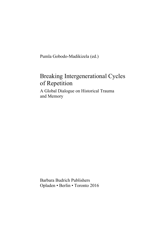Pumla Gobodo-Madikizela (ed.)

# Breaking Intergenerational Cycles of Repetition

A Global Dialogue on Historical Trauma and Memory

Barbara Budrich Publishers Opladen • Berlin • Toronto 2016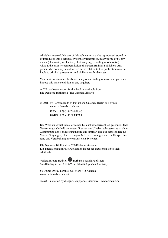All rights reserved. No part of this publication may be reproduced, stored in or introduced into a retrieval system, or transmitted, in any form, or by any means (electronic, mechanical, photocopying, recording or otherwise) without the prior written permission of Barbara Budrich Publishers. Any person who does any unauthorized act in relation to this publication may be liable to criminal prosecution and civil claims for damages.

You must not circulate this book in any other binding or cover and you must impose this same condition on any acquirer.

A CIP catalogue record for this book is available from Die Deutsche Bibliothek (The German Library)

© 2016 by Barbara Budrich Publishers, Opladen, Berlin & Toronto [www.barbara-budrich.net](http://www.barbara-budrich.net) 

> ISBN 978-3-8474-0613-6 **eISBN 978-3-8474-0240-4**

Das Werk einschließlich aller seiner Teile ist urheberrechtlich geschützt. Jede Verwertung außerhalb der engen Grenzen des Urheberrechtsgesetzes ist ohne Zustimmung des Verlages unzulässig und strafbar. Das gilt insbesondere für Vervielfältigungen, Übersetzungen, Mikroverfilmungen und die Einspeicherung und Verarbeitung in elektronischen Systemen.

Die Deutsche Bibliothek – CIP-Einheitsaufnahme Ein Titeldatensatz für die Publikation ist bei der Deutschen Bibliothek erhältlich.

Verlag Barbara Budrich  $\mathbb{B}^3$  Barbara Budrich Publishers Stauffenbergstr. 7. D-51379 Leverkusen Opladen, Germany

86 Delma Drive. Toronto, ON M8W 4P6 Canada [www.barbara-budrich.net](http://www.barbara-budrich.net) 

Jacket illustration by disegno, Wuppertal, Germany – [www.disenjo.de](http://www.disenjo.de)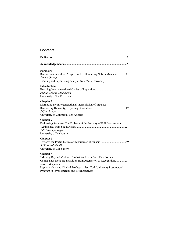### **Contents**

| Foreword<br>Reconciliation without Magic: Preface Honouring Nelson Mandela XI<br>Donna Orange<br>Training and Supervising Analyst, New York University                                                                                                                                        |
|-----------------------------------------------------------------------------------------------------------------------------------------------------------------------------------------------------------------------------------------------------------------------------------------------|
| Introduction<br>Pumla Gobodo-Madikizela<br>University of the Free State                                                                                                                                                                                                                       |
| <b>Chapter 1</b><br>Disrupting the Intergenerational Transmission of Trauma:<br>Jeffrey Prager<br>University of California, Los Angeles                                                                                                                                                       |
| <b>Chapter 2</b><br>Rethinking Remorse: The Problem of the Banality of Full Disclosure in<br>Juliet Brough Rogers<br>University of Melbourne                                                                                                                                                  |
| <b>Chapter 3</b><br>AJ Barnard-Naudé<br>University of Cape Town                                                                                                                                                                                                                               |
| <b>Chapter 4</b><br>"Moving Beyond Violence:" What We Learn from Two Former<br>Combatants about the Transition from Aggression to Recognition 71<br>Jessica Benjamin<br>Psychoanalyst and Clinical Professor, New York University Postdoctoral<br>Program in Psychotherapy and Psychoanalysis |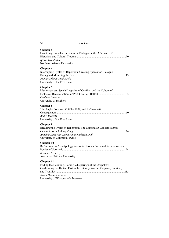| VI | Contents |
|----|----------|
|----|----------|

| <b>Chapter 5</b><br>Unsettling Empathy: Intercultural Dialogue in the Aftermath of<br>Björn Krondorfer<br>Northern Arizona University                                                                                  |
|------------------------------------------------------------------------------------------------------------------------------------------------------------------------------------------------------------------------|
| <b>Chapter 6</b><br>Interrupting Cycles of Repetition: Creating Spaces for Dialogue,<br>Pumla Gobodo-Madikizela<br>University of the Free State                                                                        |
| <b>Chapter 7</b><br>Memoryscapes, Spatial Legacies of Conflict, and the Culture of<br>Graham Dawson<br>University of Brighton                                                                                          |
| <b>Chapter 8</b><br>The Anglo-Boer War (1899 – 1902) and Its Traumatic<br>André Wessels<br>University of the Free State                                                                                                |
| <b>Chapter 9</b><br>Breaking the Cycles of Repetition? The Cambodian Genocide across<br>Angeliki Kanavou; Kosal Path; Kathleen Doll<br>University of California, Irvine                                                |
| <b>Chapter 10</b><br>Reflections on Post-Apology Australia: From a Poetics of Reparation to a<br>Rosanne Kennedy<br>Australian National University                                                                     |
| <b>Chapter 11</b><br>Ending the Haunting, Halting Whisperings of the Unspoken:<br>Confronting the Haitian Past in the Literary Works of Agnant, Danticat,<br>Sarah Davies Cordova<br>University of Wisconsin-Milwaukee |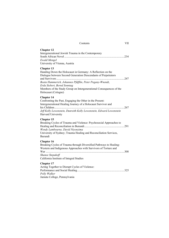#### **Chapter 12**

| Intergenerational Jewish Trauma in the Contemporary |  |
|-----------------------------------------------------|--|
|                                                     |  |
| Ewald Mengel                                        |  |
| University of Vienna, Austria                       |  |

#### **Chapter 13**

| Handing Down the Holocaust in Germany: A Reflection on the          |  |
|---------------------------------------------------------------------|--|
| Dialogue between Second Generation Descendants of Perpetrators      |  |
|                                                                     |  |
| Beata Hammerich, Johannes Pfäfflin, Peter Pogany-Wnendt,            |  |
| Erda Siebert, Bernd Sonntag                                         |  |
| Members of the Study Group on Intergenerational Consequences of the |  |
| Holocaust (Cologne)                                                 |  |

#### **Chapter 14**

| Confronting the Past, Engaging the Other in the Present:            |  |
|---------------------------------------------------------------------|--|
| Intergenerational Healing Journey of a Holocaust Survivor and       |  |
|                                                                     |  |
| Jeff Kelly Lowenstein, Dunreith Kelly Lowenstein, Edward Lowenstein |  |
| Harvard University                                                  |  |

#### **Chapter 15**

| Breaking Cycles of Trauma and Violence: Psychosocial Approaches to |  |
|--------------------------------------------------------------------|--|
|                                                                    |  |
| Wendy Lambourne, David Niyonzima                                   |  |
| University of Sydney; Trauma Healing and Reconciliation Services,  |  |
| Burundi                                                            |  |

#### **Chapter 16**

#### **Chapter 17**

| Acting Together to Disrupt Cycles of Violence: |  |
|------------------------------------------------|--|
|                                                |  |
| Polly Walker                                   |  |
| Juniata College, Pennsylvania                  |  |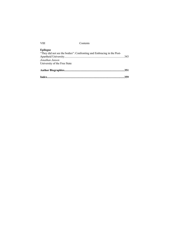#### **Epilogue**

|                                                                       | .359 |
|-----------------------------------------------------------------------|------|
|                                                                       |      |
| University of the Free State                                          |      |
| Jonathan Jansen                                                       |      |
|                                                                       |      |
| "They did not see the bodies": Confronting and Embracing in the Post- |      |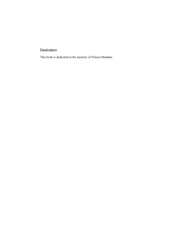## Dedication

This book is dedicated to the memory of Nelson Mandela.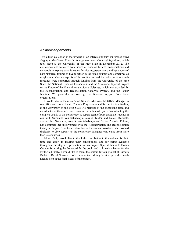#### Acknowledgements

This edited collection is the product of an interdisciplinary conference titled *Engaging the Other: Breaking Intergenerational Cycles of Repetition*, which took place at the University of the Free State in December 2012. The conference was followed by a series of research forums, conversations and symposia to explore what it means for victims, perpetrators and bystanders of past historical trauma to live together in the same country and sometimes as neighbours. Various aspects of the conference and the subsequent research meetings were supported through funding from the University of the Free State, the National Research Foundation, and the Ministerial Special Project on the Future of the Humanities and Social Sciences, which was provided for the Reconstruction and Reconciliation Catalytic Project, and the Fetzer Institute. We gratefully acknowledge the financial support from these organisations.

I would like to thank Jo-Anne Naidoo, who was the Office Manager in our office and research unit, Trauma, Forgiveness and Reconciliation Studies, at the University of the Free State. As member of the organising team and coordinator of the conference, Jo-Anne did a fantastic job of coordinating the complex details of the conference. A superb team of post-graduate students in our unit, Samantha van Schalkwyk, Jessica Taylor and Naleli Morojele, assisted her. Samantha, now Dr van Schalkwyk and Senior Post-doc Fellow, has continued her involvement with the Reconstruction and Reconciliation Catalytic Project. Thanks are also due to the student assistants who worked tirelessly to give support to the conference delegates who came from more than 22 countries.

Most of all, I would like to thank the contributors to this volume for their time and effort in making their contributions and for being available throughout the stages of production in this project. Special thanks to Donna Orange for writing the Foreword for the book, and to Jonathan Jansen for the Epilogue.Finally, I would like to thank the editors for our project at Barbara Budrich. David Newmarch of Grammarline Editing Services provided much needed help in the final stages of the project.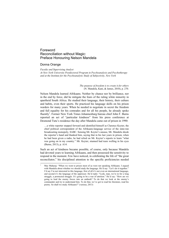#### Foreword Reconciliation without Magic: Preface Honouring Nelson Mandela

#### Donna Orange

*Faculty and Supervising Analyst* 

*At New York University Postdoctoral Program in Psychoanalysis and Psychotherapy and at the Institute for the Psychoanalytic Study of Subjectivity, New York* 

> *The purpose of freedom is to create it for others* (N. Mandela, Kani, & James, 2010), p. 270.

Nelson Mandela learned Afrikaans. Neither by chance nor by brilliance, nor in the end by force, did he mitigate the fears of the ruling white minority in apartheid South Africa. He studied their language, their history, their culture and habits, even their sports. He practiced his language skills on his prison warders for many years. When he needed to negotiate in secret the freedom and full equality for his comrades and for all his people, he already spoke fluently<sup>1</sup>. Former New York Times Johannesburg bureau chief John F. Burns reported an act of "particular kindness" from his press conference at Desmond Tutu's residence the day after Mandela came out of prison in 1990:

…a white reporter stepped forward and identified himself as Clarence Keyter, the chief political correspondent of the Afrikaans-language service of the state-run broadcasting monopoly, SABC. Sensing Mr. Keyter's unease, Mr. Mandela shook the reporter's hand and thanked him, saying that in his last years in prison, when he had been given a radio, he had relied on Mr. Keyter's reports to learn "what was going on in my country." Mr. Keyter, stunned had tears welling in his eyes (Burns, 2013), p. A14.

Such an act of kindness became possible, of course, only because Mandela had devoted years to learning Afrikaans, and then possessed the sensitivity to respond in the moment. Few have noticed, in celebrating the life of "the great reconciliator," his disciplined attention to the specific proficiencies needed

 $\frac{1}{1}$  Mac Maharaj: "When we went to prison most of us were not speaking Afrikaans. I argued with Mandela about whether we should study the language. He'd say: "Let's do it together." I'd say I'm not interested in this language, first of all it's not even an international language, and second it's the language of the oppressor. He'd reply: "Look, man, we're in for a long struggle, a protracted struggle. It's going to be a war of attrition." He'd say: "How are we going to lead the enemy forces into an ambush? To do that we look at the enemy's commander and try to understand him. To do that, we've got to read his literature, read his poetry. So shall we study Afrikaans?" (various, 2013)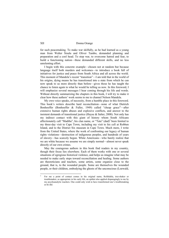for such peacemaking. To make war skilfully, as he had learned as a young man from Walter Sisulu and Oliver Tambo, demanded planning and preparation and a cool head. To stop war, to overcome hatred and fear, to build a functioning nation—these demanded different skills, and no less unrelenting effort.

I begin with this concrete example—chosen not at random but because language itself both murders and welcomes—to introduce a book full of initiatives for justice and peace from South Africa and all across the world. This moment of Mandela's recent "transition"—I am told that in the world of his origins, dying means he has transitioned into a state from which he can now speak to us more directly than before—gives those he has taught the chance to listen again to what he would be telling us now. In this foreword, I will emphasize several messages I hear coming through his life and words. Without directly summarizing the chapters in this book, I will try to make it clear how these authors' work seems to me to channel Nelson Mandela.

My own voice speaks, of necessity, from a humble place in this foreword. This book's writers describe hard reconciliation—none of what Dietrich Bonhoeffer (Bonhoeffer & Fuller, 1949) called "cheap grace"—after extensive human rights abuses and explosive conflicts, and answer to the insistent demands of transitional justice (Huyse  $\&$  Salter, 2008). Not only has my indirect contact with this giant of history whom South Africans affectionately call "Madiba", his clan name, or "Tata"  $(dad)^2$  been limited to my three-day visit to Cape Town, including my visit to his cell at Robben Island, and to the District Six museum in Cape Town. Much more, I write from the United States, where the work of confronting our legacy of human rights violations—destruction of indigenous peoples, and hundreds of years of slavery—has scarcely begun. White Americans—who barely realize that we are white because we assume we are simply normal—almost never speak directly of our own crimes.

May the courageous authors in this book find readers in my country, though their focus lies elsewhere. Each of them works with one or several situations of egregious historical violence, and helps us imagine what may be needed to make early steps toward reconciliation and healing. Some authors are theoreticians and teachers, some artists, some organize close to the ground, that is, to the wounded people. Some are themselves the wounded people, or their children, embodying the ghosts of the unconscious (Loewald,

 $\frac{1}{2}$  For me a point of contact comes in his original name, Rolihlahla, tree-shaker or troublemaker, so appropriate in his early life, an epithet also applied disparagingly to me by my psychoanalytic teachers. One could only wish to have transformed one's troublemaking as he did.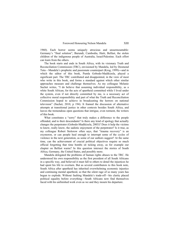1960). Each horror seems uniquely atrocious and unsurmountable: Germany's "final solution", Burundi, Cambodia, Haiti, Belfast, the stolen children of the indigenous people of Australia, Israel/Palestine. Each effort can learn from the others.

The book starts and ends in South Africa, with its visionary Truth and Reconciliation Commission (TRC), envisioned by Mandela, led by Desmond Tutu—Mandela's prophetic and passionate counterpart (Krog, 1999)―and in which the editor of this book, Pumla Gobodo-Madikizela, played a significant part. The TRC contributed and disappointed, in the view of most who write in this book, and forms a standard against which other similar approaches measure and challenge themselves. As my colleague Melanie Suchet writes, "I do believe that assuming individual responsibility, as a white South African, for the acts of apartheid committed while I lived under the system, even if not directly committed by me, is a necessary act of collective moral responsibility and part of what the Truth and Reconciliation Commission hoped to achieve in broadcasting the horrors on national television" (Suchet, 2010, p 194). It framed the discussion of alternative attempts at transitional justice in other contexts besides South Africa, and leaves the tremendous open questions that intrigue, even torment, the writers of this book.

What constitutes a "sorry" that truly makes a difference to the people offended, and to their descendants? Is there any kind of apology that actually changes the perpetrator (Gobodo-Madikizela, 2003)? Does it help the victims to know, really know, the sadistic enjoyment of the perpetrator? Is it true, as my colleague Robert Stolorow often says, that "trauma recovery" is an oxymoron, or can people heal enough to interrupt some of the cycles of violence in the next generation, as some of our authors suggest? At the same time, can the achievement of crucial political objectives require so much official forgetting that time bombs sit ticking away, as for example our chapter on Belfast warns? In this question intersect the stories of South Africa, Germany, the United States, and possibly more.

Mandela delegated the problems of human rights abuses to the TRC. He understood his own responsibility as the first president of all South Africans in a specific way, and believed it must fall to others to detail the injustices he had spent his life to overturn. But as several contributors to this book note, South Africa after apartheid has inherited overwhelming economic injustice and continuing mental apartheid, so that the silent rage of so many years has begun to explode. Without faulting Mandela's trade-off—his clarity placed political equality before everything—South Africans now find themselves faced with his unfinished work even as we and they mourn his departure.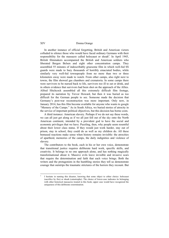In another instance of official forgetting, British and American victors colluded to silence those who would have faced ordinary Germans with their responsibility for the massacre called holocaust or shoah<sup>3</sup>. In April 1945, British filmmakers accompanied the British and American soldiers who liberated Bergen Belsen and eight other concentration camps. They assembled 55 minutes of indescribably gruesome film in which well-fed SS guards were made to bury thousands of horribly emaciated bodies, while similarly very well-fed townspeople from no more than two or three kilometers away were made to watch. From other camps, also right next to towns, the film showed gas chambers and crematoria. In some camps there were survivors to be nursed back to life, survivors too ill to eat or drink, and in others evidence that survivors had been shot on the approach of the Allies. Alfred Hitchcock assembled all this extremely difficult film footage, prepared its narration by Trevor Howard, but then it was buried as too difficult for the German people to see. Someone made the decision that Germany's post-war reconstruction was more important. Only now, in January 2014, has this film become available for anyone who wants to google "Memory of the Camps." As in South Africa, we buried stories of atrocity in the service of important political objectives, but this decision has borne costs.

A third instance: American slavery. Perhaps if we do not say these words, we can all just get along as if we all just fell out of the sky onto the North American continent, intended by a provident god to have the social and economic privileges that we have. Puzzling, then, why people seem resentful about their lower class status. If they would just work harder, stay out of prison, stay in school, they could do as well as my children do. All these bemused reactions make sense when history remains invisible: the atrocities of apartheid, memories of the camps, the daily indignities and violence of slavery.

The contributors to the book, each in his or her own voice, demonstrate that transitional justice requires deliberate hard work, specific skills, and creativity. It belongs to no one approach alone, and has nothing magically transformational about it. Massive evils leave invisible and invasive scars that require the determination and faith that each voice brings. Both the writers and the protagonists in the humbling stories they tell us demonstrate courage that outstrips the traumatic strictures of the horrors they recount. But

<sup>&</sup>lt;sup>2</sup><br>3 I hesitate in naming this disaster, knowing that some object to either choice: holocaust (sacrifice by fire) or shoah (catastrophe). The choice of lower-case indicates its belonging with other historical massacres treated in this book; upper case would have recognized the uniqueness of this deliberate extermination.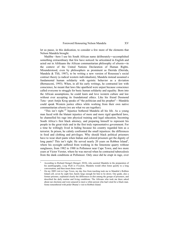let us pause, in this dedication, to consider a few more of the elements that Nelson Mandela brought.

Madiba—here I use his South African name deliberately―accomplished something extraordinary that few have noticed: he articulated in English and acted out in Afrikaans the African communitarian philosophy of *ubuntu*―in the context of the United Nations Declaration of Human Rights. Misunderstood, even by philosophers as prominent as Derrida (Derrida, Mandela & Tlili, 1987), to be writing a new version of Rousseau's social contract theory (a radical western individualism), Mandela instead assumed a fundamental human solidarity with egoistic behavior as a deviation (Bernasconi, 1993). When, in all his early writings, he contrasted law with conscience, he meant that laws like apartheid were unjust because conscience called everyone to struggle for basic human solidarity and equality. Born into the African assumptions, he could learn and love western culture and law without ever accepting its foundational ethics. Like his friend Desmond Tutu—poet Antjie Krog speaks of "the politician and his prophet"—Mandela could speak Western justice ethics while working from their own native communitarian *ubuntu* (we are what we are together).

"This isn't right."<sup>4</sup> Injustice bothered Mandela all his life. As a young man faced with the blatant injustice of more and more rigid apartheid laws, he channelled his rage into physical training and legal education, becoming South Africa's first black attorney, and preparing himself to represent his people in the great trials and in the first truly representative government. For a time he willingly lived in hiding because his country regarded him as a terrorist. In prison, he calmly confronted the small injustices: the differences in food and clothing and privileges. Why should black political prisoners have to wear short pants when Indian and colored prisoners get the dignity of long pants? This isn't right. He served nearly 20 years on Robben Island<sup>5</sup>, where his eyesight suffered from working in the limestone quarry without sunglasses, from 1982 to 1988 in Pollsmoor near Cape Town, and two more years at Victor Verster, where he was moved when he contracted tuberculosis from the dank conditions at Pollsmoor. Only once did he erupt in rage, over

-

<sup>4</sup> According to Richard Stengel (Stengel, 2010), who assisted Mandela in the preparation of his autobiography, *Long Walk to Freedom*, Mandela would often listen quietly to a long conversation, and then insert these words.<br> $\frac{5}{2}$  On my 2000 yieit to Cana Town, my day

On my 2009 visit to Cape Town, my day free from teaching took me to Mandela's Robben Island cell, seven by eight feet, barely large enough for him to lie down. Our guide, also a former prisoner, explained clearly the differences in diet among the groups of prisoners, and described the daily routine and living conditions. The Africans who took me there asked about our elections and were amazed to meet a white person who had voted for a black man. Some remembered with pride Obama's visit to Robben Island.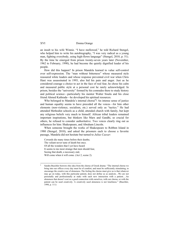an insult to his wife Winnie. "I have mellowed," he told Richard Stengel, who helped him to write his autobiography, "I was very radical as a young man, fighting everybody, using high-flown language" (Stengel, 2010, p. 51). By the time he emerged from prison twenty-seven years later (November, 1962 to February, 1990), he had become the quietly dignified leader of his people.

How did this happen? In prison Mandela learned to value self-control over self-expression. The "man without bitterness" whose measured style reassured white leaders and whose response prevented civil war when Chris Hani was assassinated in 1993, also hid his pain and anger. Just as he considered courage a choice to act in the face of real fear, he chose his calm and measured public style at a personal cost he rarely acknowledged. In prison, besides the "university" formed by his comrades there to study history and political science—particularly his mentor Walter Sisulu and his close friend Ahmed Kathrada—he developed his spiritual resources.

Who belonged to Mandela's internal chorus<sup>6</sup>? An intense sense of justice and human equality seems to have preceded all the voices—for him other elements (non-violence, socialism, etc.) served only as "tactics." He had attended Methodist schools as a child, attended church with family, but kept any religious beliefs very much to himself. African tribal leaders remained important inspirations, but thinkers like Marx and Gandhi, so crucial for others, he refused to consider authoritative. Two voices clearly ring out as influences for him: Shakespeare, and Abraham Lincoln.

When someone brought the works of Shakespeare to Robben Island in 1980 (Stengel, 2010), and asked the prisoners each to choose a favorite passage, Mandela did not hesitate but turned to *Julius Caesar*:

Cowards die many times before their deaths; The valiant never taste of death but once. Of all the wonders that I yet have heard It seems to me most strange that men should fear, Seeing that death, a necessary end, Will come when it will come. (Act 2, scene 2).

 6 Sandra Buechler borrows this idea from the chorus of Greek drama: "The internal chorus we bring into our offices every day must be of comfort, and must be sufficiently stimulating, to encourage the creative use of aloneness. The feeling the chorus must give us is that whatever may go on today, with this particular patient, does not define us as analysts…We are not personally and professionally at stake with each new interaction with a patient.…An aloneness that doesn't cost us a good connection with ourselves, with our chorus, or with the patient can be used creatively. A creatively used aloneness is not loneliness." (Buechler, 1998, p. 111)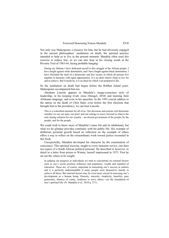Not only was Shakespeare a resource for him, but he had obviously engaged in the ancient philosophers' meditation on death, the spiritual practice intended to help us to live in the present moment. Mandela often used this exercise to reduce fear, as we can also hear in his closing words at the Rivonia Trial of 1963-64, facing probable hanging:

During my lifetime I have dedicated myself to this struggle of the African people. I have fought against white domination, and I have fought against black domination. I have cherished the ideal of a democratic and free society in which all persons live together in harmony with equal opportunities. It is an ideal which I hope to live for and to achieve. But if needs be, it is an ideal for which I am prepared to die.

So the meditation on death had begun before the Robben Island years. Shakespeare accompanied him too.

Abraham Lincoln appears in Mandela's image-conscious style of leadership, in his keeping rivals close (Stengel, 2010) and learning their Afrikaans language, and even in his speeches. In the 1993 crucial address to the nation on the death of Chris Hani, even before the first elections that brought him to the presidency, we can hear Lincoln:

This is a watershed moment for all of us. Our decisions and actions will determine whether we use our pain, our grief, and our outrage to move forward to what is the only lasting solution for our country—an elected government of the people, by the people, and for the people.

We could wish to know more of Mandela's inner life and its inhabitants, but what we do glimpse provides continuity with his public life. His example of deliberate personal growth based on reflection on the example of others offers a way to reflect on the extraordinary work toward justice recounted in this book.

Unexpectedly, Mandela developed his character by the examination of conscience. This spiritual exercise, taught to every monastic novice, one does not expect of a South African political prisoner. He described it, however, in detail in a letter from prison to Winnie, herself imprisoned in 1975. First he set out the values to be sought:

In judging our progress as individuals we tend to concentrate on external factors such as one's social position, influence and popularity, wealth and standard of education. These are, of course, important in measuring one's success in matters and it is perfectly understandable if many people exert themselves mainly to achieve all these. But internal factors may be even more crucial in assessing one's development as a human being. Honesty, sincerity, simplicity, humility, pure generosity, absence of vanity, readiness to serve others—are the foundation of one's spiritual life. (N. Mandela et al., 2010 p. 271).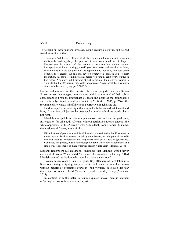To refocus on these matters, however, would require discipline, and he had found himself a method:

…you may find that the cell is an ideal place to learn to know yourself, to search realistically and regularly the process of your own mind and feelings… Development in matters of this nature is inconceivable without serious introspection, without knowing yourself, your weaknesses and mistakes. At least, if for nothing else, the cell gives you the opportunity to look daily into your entire conduct, to overcome the bad and develop whatever is good in you. Regular meditation, say about 15 minutes a day before you turn in, can be very fruitful in this regard. You may find it difficult at first to pinpoint the negative features in your life, but the 10<sup>th</sup> attempt may yield rich rewards. Never forget that a saint is a sinner who keeps on trying (pp. 271-272).

His method reminds me that injustice thrives on prejudice and, as Gillian Straker writes, "stereotyped interchanges, which, at the level of their subtly choreographed prosody, interpellate us again and again as the homophobic and racist subjects we would wish not to be" (Straker, 2006, p. 750). She recommends relentless mindfulness as a corrective, much as he did.

He developed a personal style that alternated between understatement and irony. In the face of injustice, he often spoke quietly only three words: that's not right.

Mandela emerged from prison a peacemaker, focused on one goal only, full equality for all South Africans, without retribution toward anyone: the white oppressors, or his African rivals. At his death, John Dramani Mahama, the president of Ghana, wrote of him:

His utilization of peace as a vehicle of liberation showed Africa that if we were to move beyond the divisiveness caused by colonization, and the pain of our selfinflicted wounds, compassion and forgiveness must play a role in governance. Countries, like people, must acknowledge the trauma they have experienced, and find a way to reconcile, to make what was broken whole again (Mahama, 2013).

Mahami remembers his childhood, imagining that Mandela would never come out of prison. When he did, "we waited for an indescribable rage." Had Mandela wanted retribution, who would not have understood?

Twenty-seven years of his life, gone. Day after day of hard labor in a limestone quarry, chipping away at white rock under a merciless sun without benefit of protective eyewear—had virtually destroyed his tear ducts, and for years, robbed Mandela even of his ability to cry (Mahama, 2013).

In contrast with the letter to Winnie quoted above, here is another, reflecting the cost of his sacrifices for justice: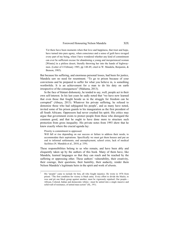Yet there have been moments when that love and happiness, that trust and hope, have turned into pure agony, when conscience and a sense of guilt have ravaged every part of my being, when I have wondered whether any kind of commitment can ever be sufficient excuse for abandoning a young and inexperienced woman [Winnie] in a pitiless desert, literally throwing her into the hands of highwaymen. (Letter of 4 February 1985, pp 148-49, cited in W. Mandela, Benjamin, & Benson, 1985).

But because his suffering, and enormous personal losses, had been for justice, Mandela saw no need for resentment. "To go to prison because of your convictions and be prepared to suffer for what you believe in, is something worthwhile. It is an achievement for a man to do his duty on earth irrespective of the consequences" (Mahama, 2013).

In the face of blatant dishonesty, he tended to say, well, people act in their own self-interest. In his last years he sadly noted that "we have now learned that even those that fought beside us in the struggle for freedom can be corrupted" (Abuya, 2013). Whatever his private suffering, he refused to demonize those who had subjugated his people<sup>7</sup>, and as many have noted, invited some of his prison guards to his inauguration as the first president of all South Africans. Oppressors had never crushed his spirit. His critics may argue that government exists to protect people from those who disregard the common good, and that he ought to have done more to structure such protection from gross inequality. His private notes from 1993 show that he knew exactly where the crucial agenda lay:

Priority is commitment to oppressed.

-

Will fall or rise depending on our success or failure to address their needs, to accommodate their aspirations. Specifically we must get them houses and put an end to informal settlements; end unemployment, school crisis, lack of medical facilities (N. Mandela et al., 2010, p. 339).

These responsibilities belong to us who remain, and have been ably and eloquently taken up by the authors of this book. Many of them have, like Mandela, learned languages so that they can reach and be reached by the suffering or oppressing other. These authors' vulnerability, their creativity, their courage, their questions, their humility, their audacity, render them Nelson Mandela's legitimate heirs in the spirit and work of *ubuntu*.

<sup>7</sup> His "people" came to include for him, all who fought injustice. He wrote in 1976 from prison: "The first condition for victory is black unity. Every effort to divide the blacks, to woo and pit one black group against another, must be vigorously repulsed. Our people— African, Colored, Indian and democratic whites—must be united into a single massive and solid wall of resistance, of united mass action" (SL, 191).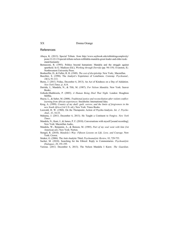#### References

- Abuya, K. (2013). Special Tribute. from <http://www.saybrook.edu/rethinkingcomplexity/> posts/12-22-13/special-tribute-nelson-rolihlahla-mandela-great-leader-and-elder-tookstand-humanity
- Bernasconi, R. (1993). Politics beyond humanism: Mandela and the struggle against apartheid. In G. Madison (Ed.), *Working through Derrida* (pp. 94-119). Evanston, IL: Northwestern University Press.
- Bonhoeffer, D., & Fuller, R. H. (1949). *The cost of discipleship*. New York,: Macmillan.
- Buechler, S. (1998). The Analyst's Experience of Loneliness. *Contemp. Psychoanal., 34*(1), 91-113.
- Burns, J. (2013, Friday, December 6, 2013). An Act of Kindness on a Day of Adulation. *New York Times,* p. A14.
- Derrida, J., Mandela, N., & Tlili, M. (1987). *For Nelson Mandela.* New York: Seaver Books.
- Gobodo-Madikizela, P. (2003). *A Human Being Died That Night*. London: Houghton Mifflin.
- Huyse, L., & Salter, M. (2008). *Traditional justice and reconciliation after violent conflict: learning from African experiences*. Stockholm: International Idea.
- Krog, A. (1999). *Country of my skull: guilt, sorrow, and the limits of forgiveness in the new South Africa* (1st U.S. ed.). New York: Times Books.
- Loewald, H. W. (1960). On the Therapeutic Action of Psycho-Analysis. *Int. J. Psycho-Anal., 41*, 16-33.
- Mahama, J. (2013, December 6, 2013). He Taught a Continent to Forgive. *New York Times*.
- Mandela, N., Kani, J., & James, P. F. (2010). Conversations with myself [sound recording]. New York: Macmillan Audio,.
- Mandela, W., Benjamin, A., & Benson, M. (1985). *Part of my soul went with him* (1st American ed.). New York: Norton.
- Stengel, R. (2010). *Mandela's Way: Fifteeen Lessons on Life, Love, and Courage*. New York: Crown.
- Straker, G. (2006). The Anti-Analytic Third. *Psychoanalytic Review, 93*, 729-753.
- Suchet, M. (2010). Searching for the Ethical: Reply to Commentaries. *Psychoanlytic Dialogues, 20*, 191-195.
- Various. (2013, December 6, 2013). The Nelson Mandela I Knew. *The Guardian*.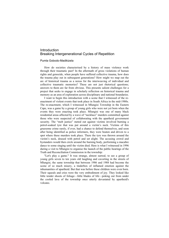#### Introduction Breaking Intergenerational Cycles of Repetition

#### Pumla Gobodo-Madikizela

How do societies characterised by a history of mass violence work through their traumatic past? In the aftermath of gross violations of human rights and genocide, when people have suffered collective trauma, how does the trauma play out in subsequent generations? How might we map out the arc of historical trauma as a nexus for the interweaving of individual and collective traumatic memories? These are not just rhetorical questions; answers to them are far from obvious. This presents salient challenges for a project that seeks to engage in scholarly reflection on historical trauma and memory as an area of exploration across disciplinary and national boundaries.

I want to begin this introduction with a scene that I witnessed of the reenactment of violent events that took place in South Africa in the mid-1980s. The re-enactment, which I witnessed in Mlungisi Township in the Eastern Cape, was a game by a group of young girls who were not yet born when the events they were enacting took place. Mlungisi was one of many black residential areas affected by a wave of "necklace" murders committed against those who were suspected of collaborating with the apartheid government security. The "mob justice" meted out against victims involved burning a petrol-soaked tyre that was put around a victim's neck. Victims of this gruesome crime rarely, if ever, had a chance to defend themselves, and soon after being identified as police informers, they were beaten and driven to a spot where these murders took place. There the tyre was thrown around the victim's neck, doused with petrol and set alight. The accusing crowd and bystanders would then circle around the burning body, performing a macabre dance to some singing until the victim died. Here is what I witnessed in 1996 during a visit to Mlungisi to organise the launch of the public hearings of the Truth and Reconciliation Commission in the township:

"Let's play a game." It was strange, almost surreal, to see a group of young girls seven to ten years old laughing and cavorting in the streets of Mlungisi, the same township that between 1986 and 1988 had become the scene of so much misery, a tinderbox of inflamed emotion against the inhumanities of apartheid. But that was before these children were even born. Their squeals and cries were the very embodiment of joy. They looked like little tender shoots of foliage—little blades of life—poking out from under the cooled lava of the township once utterly devastated by apartheid's volcano.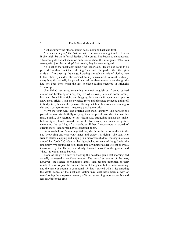"What game?" the others shouted back, skipping back and forth.

"Let me show you," the first one said. She was about eight and looked as if she might be the informal leader of the group. She began to demonstrate. The other girls did not seem too enthusiastic about this new game. What was wrong with just playing skip? But slowly, they became intrigued.

"It is called the 'necklace' game," the leader said. "This is just going to be pretend 'necklace,' not the real thing," she said. She pushed the other girls aside as if to open up the stage. Rotating through the role of victim, then killers, then bystander, she seemed to my amazement to recall virtually everything that actually happened in a real necklace murder, even though she had not been born when the last necklace killing occurred in Mlungisi Township.

She flailed her arms, screaming in mock anguish as if being pushed around and beaten by an imaginary crowd, swaying back and forth, turning her head from left to right, and begging for mercy with eyes wide open to show mock fright. Then she switched roles and playacted someone going off to find petrol, then another person offering matches, then someone running to demand a car tyre from an imaginary passing motorist.

"Give me your tyre," she ordered with mock hostility. She narrated the part of the motorist dutifully obeying, then the petrol man, then the matches man. Finally, she returned to her victim role, struggling against the makebelieve tyre placed around her neck. Nervously, she made a gesture simulating the striking of a match, as if her friends—now a crowd of executioners—had forced her to set herself alight.

As make-believe flames engulfed her, she threw her arms wildly into the air. "Now sing and clap your hands and dance. I'm dying," she said. Her friends started clapping and singing in a discordant rhythm, moving in circles around her "body." Gradually, the high-pitched screams of the girl with the imaginary tyre around her neck faded into a whimper as her life ebbed away. Consumed by the flames, she slowly lowered herself to the ground and "died." It was all make-believe.

None of the girls I saw re-enacting the necklace game that morning had actually witnessed a necklace murder. The unspoken events of the past, however—the silence of Mlungisi's lambs—had become imprinted on their minds. It was not just the outward form of the game, but its inner meaning, and the sense of trauma to communal life that it carried with it. Re-enacting the death dance of the necklace victim may well have been a way of transforming the unspoken memory of it into something more accessible and less fearful for the girls.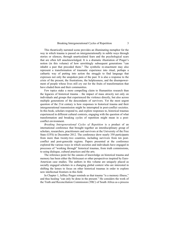This theatrically narrated scene provides an illuminating metaphor for the way in which trauma is passed on intergenerationally in subtle ways through stories or silences, through unarticulated fears and the psychological scars that are often left unacknowledged. It is a dramatic illustration of Prager's notion (in this volume) of how unwittingly subsequent generations "can inhabit a past that preceded them." The symbolic re-enactment may also represent a transformation of traumatic experience into ritual, perhaps a cathartic way of putting into action the struggle to find language that expresses not only the unspoken pain of the past. It is also a response to the crisis of the present, the frustrations, the helplessness, and the disempowerment of people whose lives still cry out for the fruits of transformation that have eluded them and their communities.

Few topics stake a more compelling claim to Humanities research than the legacies of historical trauma – the impact of mass atrocity not only on individuals and groups that experienced the violence directly, but also across multiple generations of the descendants of survivors. Yet the most urgent question of the 21st century is how responses to historical trauma and their intergenerational transmission might be interrupted in post-conflict societies. In this book, scholars respond to, and explore responses to, historical traumas experienced in different cultural contexts, engaging with the question of what transformation and breaking cycles of repetition might mean in a postconflict environment.

*Breaking Intergenerational Cycles of Repetition* is a product of an international conference that brought together an interdisciplinary group of scholars, researchers, practitioners and survivors at the University of the Free State (UFS) in December 2012. The conference drew nearly 350 participants from more than twenty-two countries, including survivors from ten postconflict and post-genocide regions. Papers presented at the conference explored the various ways in which societies and individuals have engaged in processes of "working through" historical traumas, from truth commissions, to using dialogue, cultural practices and the arts.

The reference point for the canons of knowledge on historical trauma and memory has been either the Holocaust or other perspectives inspired by Euro-American case studies. The authors in this volume are uniquely placed as socially engaged scholars in a changing global context who are interested in shifting the lenses to focus on other historical traumas in order to explore new intellectual frontiers in this field.

In Chapter 1, Jeffrey Prager reminds us that trauma "is a memory illness," and thus healing "can only be done in the present." He considers the work of the Truth and Reconciliation Commission (TRC) of South Africa as a process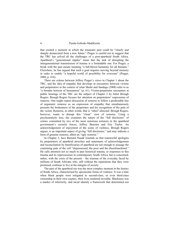that created a moment in which the traumatic past could be "clearly and sharply demarcated from a new future." Prager is careful not to suggest that the TRC has solved all the challenges of a post-apartheid South Africa. Apartheid's "generational ripples" mean that the task of disrupting the intergenerational transmission of trauma is a formidable one. For Prager, a break with the past means instating "a full-blown humanity for all humans." Elsewhere, he has argued that such a goal requires moving beyond memory in order to enable "a hopeful world of possibility for everyone" (Prager, 2008, p. 418).

There are echoes between Jeffery Prager's views in Chapter 1 about the TRC, and the idea of empathy that develops in encounters between victims and perpetrators in the context of what Shults and Sandage (2008) refer to as "a broader horizon of humanness" (p. 61). Victim-perpetrator encounters at public hearings of the TRC are the subject of Chapter 2 by Juliet Brough Rogers. Brough Rogers focuses her attention on perpetrators' expressions of remorse. One might expect discussion of remorse to follow a predictable line of argument: remorse as an expression of empathy that simultaneously presents the brokenness of the perpetrator and his recognition of the pain of the victim. Remorse, in other words, that is "other"-directed. Brough Rogers, however, wants to disrupt this "clean" view of remorse. Using a psychoanalytic lens, she examines the nature of the "full disclosure" of crimes committed by two of the most notorious torturers in the apartheid government's security forces, Jeffrey Benzien and Eric Taylor. An acknowledgement of enjoyment of the scene of violence, Brough Rogers argues, is an important aspect of giving "full disclosure," and may indicate a form of genuine remorse, albeit an "ugly remorse."

In Chapter 3, Jaco Barnard Naudé reminds us that remorseful apologies by perpetrators of apartheid atrocities and statements of acknowledgement and reconciliation by beneficiaries of apartheid are not enough to assuage the continuing pain of the *still* "dispossessed, the poor and the disenfranchised." He calls attention not so much to past historical trauma, or responses to this trauma and its repercussions in contemporary South Africa, but is concerned, rather, with the crisis of the present – the traumas of the everyday faced by millions of South Africans who, still without the reparations that they were promised, continue to live at the margins of society.

The past of the apartheid era was the most complex moment in the history of South Africa, characterised by spectacular forms of violence. It was a time when black people were relegated to second-class, or even third-class citizenship in their own country, their lives rendered invisible. Blackness was a marker of inferiority, and racial identity a framework that determined not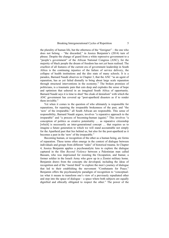the plurality of human life, but the otherness of the "foreigner" – the one who does not belong – "the discarded," in Jessica Benjamin's (2014) turn of phrase. Despite the change of guard from a white repressive government to a "people's government" of the African National Congress (ANC), for the majority of black people the dream of freedom has not yet been realised. The cruellest of all features of the current era of government leadership in South Africa is the continuing injustice of the failure of service delivery, the collapse of health institutions and the dire state of many schools. It is a paradox, Barnard Naudé observes in Chapter 3, that the ANC "as an agent of reparation, has as yet failed dismally to bring about large scale reparation through structural interventions in the economy." The broken promises of politicians, is a traumatic pain that cuts deep and explodes the sense of hope and optimism that ushered in an imagined South Africa of opportunity. Barnard Naudé says it is time to shed "the cloak of denialism" with which the

ANC government has covered up "post-apartheid disasters as if to render them invisible."

Yet when it comes to the question of who ultimately is responsible for reparations, for repairing the irreparable brokenness of the past, and "the 'now' of the irreparable," all South African are responsible. This sense of responsibility, Barnard Naudé argues, involves "a reparative approach to the irreparable" and "a process of becoming-human (again)." This involves "a conception of politics as creative potentiality … as reparative citizenship [which] is necessarily an inter-generational concept ... that requires us to imagine a future generation to which we will stand accountable not simply for the Apartheid past that lies behind us, but also for the post-apartheid as it becomes a past in the 'now' of the irreparable."

Becoming human, or recognition of the other as a human being, are forms of reparation. These terms often emerge in the context of dialogue between individuals and groups from different "sides" of historical trauma. In Chapter 4, Jessica Benjamin applies a psychoanalytic lens to explore the dialogue captured in the film *Beyond Violence* between a Palestinian man called Bassam, who was imprisoned for resisting the Occupation, and Itamar, a former soldier in the Israeli Army who grew up in a Zionist military home. Benjamin draws from the concepts she developed, including the ideas of recognition and of the "moral third" to explore the men's journey of dialogue that led to their establishing the movement "Combatants for Peace." Benjamin offers the psychoanalytic paradigm of recognition to "conceptualize what it means to transform one's view of a previously repudiated other and step into the space of dialogue – a space where both subjects are equally dignified and ethically obligated to respect the other." The power of the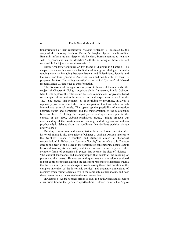transformation of their relationship "beyond violence" is illustrated by the story of the shooting death of Bassam's daughter by an Israeli soldier. Benjamin informs us that despite this incident, Bassam refuses to retaliate with vengeance and instead identifies "with the suffering of those who feel responsible for injury and want to repair it."

Björn Krondorfer continues on this theme of dialogue in Chapter 5. The chapter draws on his work as facilitator of intergroup dialogue in wideranging contexts including between Israelis and Palestinians, Israelis and Germans, and third-generation American Jews and non-Jewish Germans. He proposes the term "unsettling empathy" as an ethical "*posture*" of "shared responsiveness … that leads to transformation.

The discussion of dialogue as a response to historical trauma is also the subject of Chapter 6. Using a psychoanalytic framework, Pumla Gobodo-Madikizela explores the relationship between remorse and forgiveness based on examples of encounters between victims and perpetrators drawn from the TRC. She argues that remorse, as in forgiving or mourning, involves a reparatory process in which there is an integration of self and other on both internal and external levels. This opens up the possibility of connection between victim and perpetrator and the transformation of the relationship between them. Exploring the empathy-remorse-forgiveness cycle in the context of the TRC, Gobodo-Madikizela argues, "might broaden our understanding of the construction of meaning, and strengthen and enliven psychoanalytic debates about the conditions that facilitate positive change after violence."

Building connections and reconciliation between former enemies after historical trauma is also the subject of Chapter 7. Graham Dawson takes us to the Northern Ireland "Troubles" and strategies aimed at "historical reconciliation" in Belfast, the "post-conflict city" as he refers to it. Dawson goes to the heart of the issues at the forefront of contemporary debates about historical trauma, its aftermath, and its expression in memory and other symbolic forms of expression in places that became the sites of violence – "the cultural landscapes and memoryscapes that construct the meaning of places and their pasts." He engages with questions that are seldom explored in post-conflict contexts, shifting the lens from responses to historical trauma that focus on interpersonal dialogues, to addressing the central question of the complex interplay of the historical, political and traumatic dimensions of memory when former enemies live in the same city as neighbours, and how these memories are transmitted to the next generation.

In Chapter 8, André Wessels brings us back to South Africa and discusses a historical trauma that predated apartheid-era violence, namely the Anglo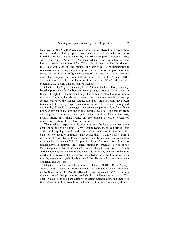Boer War, or the "South African War" as it is now referred to in recognition of the countless black people, women, men and children, who were also killed in that war; a war waged by the British Empire in colonial times, which, according to Wessels, is "the most extensive and destructive war that has been fought in southern Africa." Wessels' chapter examines the shadow that this war cast on the future, and explores its multigenerational repercussions, including the yearning for re-enactment of the past in violent ways, the yearning to "refight the battles of the past." Why is it, Wessels asks, that despite the important work of the South African TRC, "reconciliation is still a problem in South Africa? Why? Why all the bitterness, the hostility, the unresolved trauma?"

Chapter 9, by Angeliki Kanavo, Kosal Path and Kathleen Doll, is a study based in post-genocide Cambodia in Anlong Veng, a community known to be the last stronghold of the Khmer Rouge. The authors explore the transmission not only of trauma, but also of patterns of unquestioning obedience among former cadres of the Khmer Rouge, and how these patterns have been transmitted to the younger generation within this Khmer stronghold community. Their findings suggest that young people in Anlong Veng have not been critical of the past and of their parents' role in it, and that far from engaging in efforts to break the cycles of the repetition of the violent past, always strong in Anlong Veng, an environment in which cycles of destructiveness have thrived has been nurtured.

The novel as a response to historical trauma is the focus of the next three chapters in the book. Chapter 10, by Rosanne Kennedy, takes a critical look at the public apologies and the discourse of reconciliation in Australia. She calls for new avenues of inquiry, new genres that will allow shifts "from a discourse of reconciliation to one of crisis … and from a poetics of reparation to a poetics of survival." In Chapter 11, Sarah Cordova shows how two female novelists confront the silences around the traumatic period of the Duvalier years in Haiti. In Chapter 12, Ewald Mengel returns us to the South African context, and focuses on trauma novels written by Jewish authors after apartheid. Cordova and Mengel are interested in how the trauma novel is used by the authors symbolically to break the silence and to reclaim a sense of agency and wholeness.

Chapter 13 is by Beata Hammerich, Johannes Pfäfflin, Peter Pogany-Wnendt, Erda Siebert, and Bernd Sonntag, all members of the Psychotherapeutic Study Group for People Affected by the Holocaust (PAKH) who are descendants of Nazi perpetrators and children of Holocaust survivors. The chapter is a reflection on the authors' on-going dialogue about the impact of the Holocaust on their lives, how the themes of trauma, shame and guilt have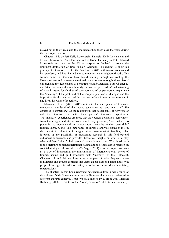played out in their lives, and the challenges they faced over the years during their dialogue process.

Chapter 14 is by Jeff Kelly Lowenstein, Dunreith Kelly Lowenstein and Edward Lowenstein. As a four-year-old in Essen, Germany in 1939, Edward Lowenstein was put on the Kindertransport to England to escape the imminent destruction of Jews in Nazi Germany. The chapter is about his journey of return to Essen for the first time in 2012 with two of his sons and his grandson, and how he and the community in the neighbourhood of his former home in Germany have found healing through confronting the Holocaust past and its transgenerational repercussions among both survivors' children and the descendants of perpetrators and bystanders. Both Chapter 13 and 14 are written with a rare honesty that will deepen readers' understanding of what it means for children of survivors and of perpetrators to experience the "memory" of the past, and of the complex journeys of dialogue and the imperative for the inheritors of the past to confront it in order to transcend it and break its cycles of repetition.

Marianne Hirsch (2001; 2012) refers to the emergence of traumatic memory at the level of the second generation as "post memory." She describes "postmemory" as the relationship that descendants of survivors of collective trauma have with their parents' traumatic experiences. "Postmemory" experiences are those that the younger generation "remember" from the images and stories with which they grew up, "but that are so powerful, so monumental, as to constitute memories in their own right" (Hirsch, 2001, p. 16). The importance of Hirsch's analysis, based as it is in the context of exploration of transgenerational trauma within families, is that it opens up the possibility of broadening research in this field beyond individual experience, and provides theoretical insights on what is at play when children "inherit" their parents' traumatic memories. What is still rare in the literature on transgenerational trauma and the Holocaust is research on societal strategies of "social repair" (Prager, 2011) or on dialogue processes as a way of interrupting the transmission of intergenerational cycles of trauma, shame and guilt associated with "memory" of the Holocaust. Chapters 13 and 14 are illustrative examples of what happens when individuals and groups confront this unspeakable past and forge links with people from opposite sides of history in order to transcend its debilitating repercussions.

The chapters in this book represent perspectives from a wide range of disciplinary fields. Historical traumas are discussed that were experienced in different cultural contexts. Thus, we have moved away from what Michael Rothberg (2008) refers to as the "homogenization" of historical trauma (p.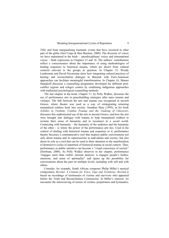230), and from marginalising traumatic events that have occurred in other part of the globe (Stef Craps & Bret Buelens, 2008). The diversity of voices we have maintained in the book – interdisciplinary voices and transnational voices – finds expression in Chapters 15 and 16. The authors' contributions reflect a consciousness about the importance of using methodologies of healing responses to historical trauma, which are drawn from cultural contexts relevant to the groups in question. In Chapter 15, Wendy Lambourne and David Niyonzima show how integrating cultural practices of healing and reconciliation dialogue in Burundi with Euro-American approaches can facilitate meaningful transformation. In Chapter 16, Shanee Stepakoff discusses a counselling programme developed for different postconflict regions and refugee centres by combining indigenous approaches with traditional psychological counselling methods.

The last chapter in the book, Chapter 17, by Polly Walker, discusses the use of performance arts in peacebuilding strategies after mass trauma and violence. The link between the arts and trauma was recognised in ancient Greece, where theatre was used as a way of reintegrating returning traumatised soldiers back into society. Jonathan Shay (1995), in his book *Achilles in Vietnam: Combat Trauma and the Undoing of Character*, discusses this sophisticated use of the arts in ancient Greece, and how the arts were brought into dialogue with trauma to help traumatised soldiers to reclaim their sense of humanity and to reconnect in a social world. Connecting with humanity – the humanity of the audience and the humanity of the other – is where the power of the performance arts lies. Used in the context of dealing with historical trauma and responses to it, performance theatre becomes a communicative tool that inspires public conversations not only about trauma and its repercussions in individuals and society, but also about its role as a tool that can be used to draw attention to the manifestation of destructive cycles of repetition of historical trauma in social context. Thus, performance as public narrative can become a "visual conscience of society" (Dorfman, 2006). As Polly Walker observes in her chapter, performance "engages more than verbal, rational analysis: it engages people's bodies, emotions, and sense of spirituality" and opens up the possibility for conversations about the past on multiple levels, including with self and with others.

Consider, for example, South African composer Philip Miller's musical composition, *Rewind: A Cantata for Voice, Tape and Testimony*. *Rewind* is based on recordings of testimonies of victims and survivors who appeared before the Truth and Reconciliation Commission. In Miller's musical, we encounter the interweaving of stories of victims, perpetrators and bystanders,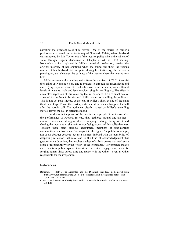narrating the different roles they played. One of the stories in Miller's performance is based on the testimony of Nomonde Calata, whose husband was murdered by Eric Taylor, one of the security police who is the subject of Juliet Brough Rogers' discussion in Chapter 2. At the TRC hearing, Nomonde's voice, replayed in Millers' musical production, carried the original intensity of her emotions when she found out about the vicious murder of her husband. At one point during her testimony, she let out a piercing cry that shattered the stillness of the theatre where the hearing was held.

Miller resurrects this wailing voice from the archives of TRC. A soloist then takes up Nomonde's cry and re-presents it through her magnificent and electrifying soprano voice. Several other voices in the choir, with different levels of intensity, male and female voices, sing this wailing cry. The effect is a seamless repetition of this voice-cry that reverberates like a re-enactment of a wound that refuses to be silenced. Miller seems to be telling the audience: This is not yet past. Indeed, at the end of Miller's show at one of the main theatres in Cape Town, the Baxter, a still and dead silence hangs in the hall after the curtain call. The audience, clearly moved by Miller's unsettling stories, leaves the hall in reflective mood.

 And here is the power of the creative arts: people did not leave after the performance of *Rewind*. Instead, they gathered around one another – around friends and strangers alike – weeping, talking, being silent and sharing the most tragic, shameful or confusing aspects of this collective past. Through these brief dialogue encounters, members of post-conflict communities can take some first steps into the light of hopefulness – hope, not as an abstract concept, but as a moment imbued with the possibility of deepening reflection that may lead to the kind of acknowledgement that gestures towards action, that inspires a wisps of a fresh breeze that awakens a sense of responsibility for the "'now' of the irreparable." Performance theatre can transform public spaces into sites for ethical engagement, sites for forging human links across time and space with the Other – even an Other responsible for the irreparable.

#### References

- Benjamin, J. (2014). The Discarded and the Dignified. Part 1and 2. Retrieved from [http://www.publicseminar.org/2014/12/the-discarded-and-the-dignified-parts-1-and-](http://www.publicseminar.org/2014/12/the-discarded-and-the-dignified-parts-1-and-2/#.VlYWMHYrLIU)[2/#.VlYWMHYrLIU](http://www.publicseminar.org/2014/12/the-discarded-and-the-dignified-parts-1-and-2/#.VlYWMHYrLIU)
- Craps, S. & Buelens, G. (2008). Introduction: Post-colonial novels. *Studies in the Novel, 40,* 1-12.